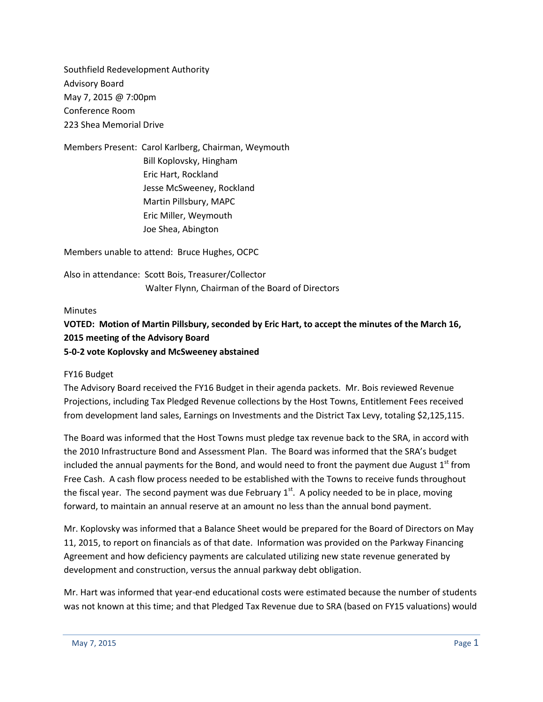Southfield Redevelopment Authority Advisory Board May 7, 2015 @ 7:00pm Conference Room 223 Shea Memorial Drive

Members Present: Carol Karlberg, Chairman, Weymouth Bill Koplovsky, Hingham Eric Hart, Rockland Jesse McSweeney, Rockland Martin Pillsbury, MAPC Eric Miller, Weymouth Joe Shea, Abington

Members unable to attend: Bruce Hughes, OCPC

Also in attendance: Scott Bois, Treasurer/Collector Walter Flynn, Chairman of the Board of Directors

#### **Minutes**

### **VOTED: Motion of Martin Pillsbury, seconded by Eric Hart, to accept the minutes of the March 16, 2015 meeting of the Advisory Board 5-0-2 vote Koplovsky and McSweeney abstained**

#### FY16 Budget

The Advisory Board received the FY16 Budget in their agenda packets. Mr. Bois reviewed Revenue Projections, including Tax Pledged Revenue collections by the Host Towns, Entitlement Fees received from development land sales, Earnings on Investments and the District Tax Levy, totaling \$2,125,115.

The Board was informed that the Host Towns must pledge tax revenue back to the SRA, in accord with the 2010 Infrastructure Bond and Assessment Plan. The Board was informed that the SRA's budget included the annual payments for the Bond, and would need to front the payment due August  $1<sup>st</sup>$  from Free Cash. A cash flow process needed to be established with the Towns to receive funds throughout the fiscal year. The second payment was due February  $1<sup>st</sup>$ . A policy needed to be in place, moving forward, to maintain an annual reserve at an amount no less than the annual bond payment.

Mr. Koplovsky was informed that a Balance Sheet would be prepared for the Board of Directors on May 11, 2015, to report on financials as of that date. Information was provided on the Parkway Financing Agreement and how deficiency payments are calculated utilizing new state revenue generated by development and construction, versus the annual parkway debt obligation.

Mr. Hart was informed that year-end educational costs were estimated because the number of students was not known at this time; and that Pledged Tax Revenue due to SRA (based on FY15 valuations) would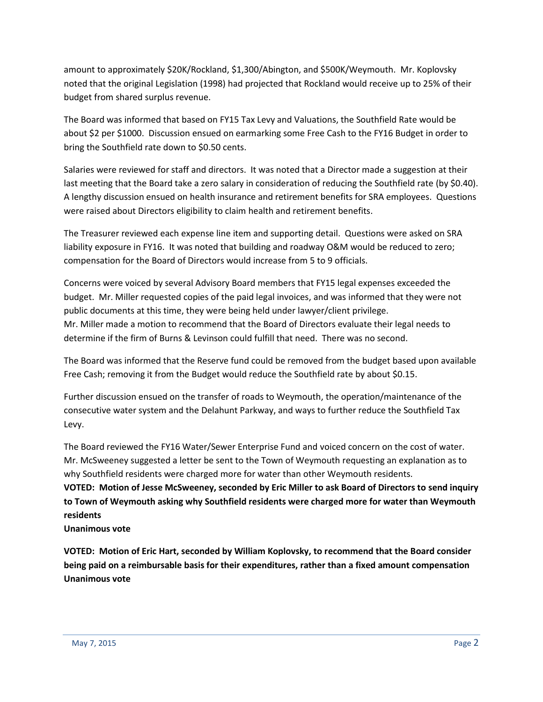amount to approximately \$20K/Rockland, \$1,300/Abington, and \$500K/Weymouth. Mr. Koplovsky noted that the original Legislation (1998) had projected that Rockland would receive up to 25% of their budget from shared surplus revenue.

The Board was informed that based on FY15 Tax Levy and Valuations, the Southfield Rate would be about \$2 per \$1000. Discussion ensued on earmarking some Free Cash to the FY16 Budget in order to bring the Southfield rate down to \$0.50 cents.

Salaries were reviewed for staff and directors. It was noted that a Director made a suggestion at their last meeting that the Board take a zero salary in consideration of reducing the Southfield rate (by \$0.40). A lengthy discussion ensued on health insurance and retirement benefits for SRA employees. Questions were raised about Directors eligibility to claim health and retirement benefits.

The Treasurer reviewed each expense line item and supporting detail. Questions were asked on SRA liability exposure in FY16. It was noted that building and roadway O&M would be reduced to zero; compensation for the Board of Directors would increase from 5 to 9 officials.

Concerns were voiced by several Advisory Board members that FY15 legal expenses exceeded the budget. Mr. Miller requested copies of the paid legal invoices, and was informed that they were not public documents at this time, they were being held under lawyer/client privilege. Mr. Miller made a motion to recommend that the Board of Directors evaluate their legal needs to determine if the firm of Burns & Levinson could fulfill that need. There was no second.

The Board was informed that the Reserve fund could be removed from the budget based upon available Free Cash; removing it from the Budget would reduce the Southfield rate by about \$0.15.

Further discussion ensued on the transfer of roads to Weymouth, the operation/maintenance of the consecutive water system and the Delahunt Parkway, and ways to further reduce the Southfield Tax Levy.

The Board reviewed the FY16 Water/Sewer Enterprise Fund and voiced concern on the cost of water. Mr. McSweeney suggested a letter be sent to the Town of Weymouth requesting an explanation as to why Southfield residents were charged more for water than other Weymouth residents.

**VOTED: Motion of Jesse McSweeney, seconded by Eric Miller to ask Board of Directors to send inquiry to Town of Weymouth asking why Southfield residents were charged more for water than Weymouth residents**

**Unanimous vote**

**VOTED: Motion of Eric Hart, seconded by William Koplovsky, to recommend that the Board consider being paid on a reimbursable basis for their expenditures, rather than a fixed amount compensation Unanimous vote**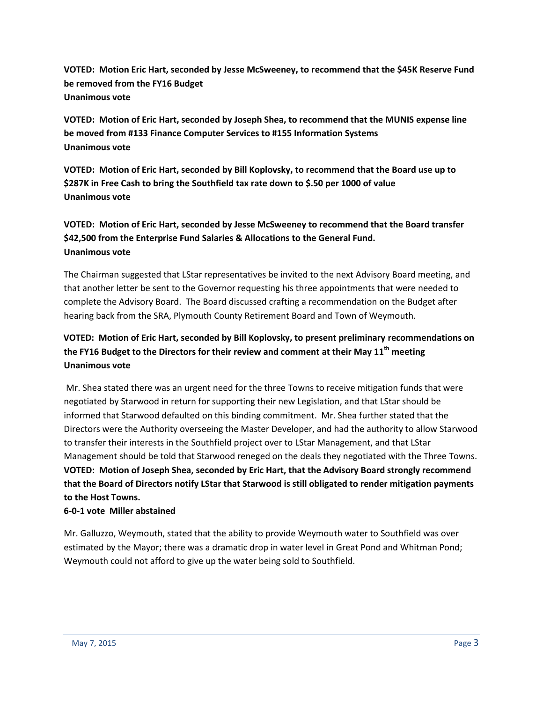**VOTED: Motion Eric Hart, seconded by Jesse McSweeney, to recommend that the \$45K Reserve Fund be removed from the FY16 Budget Unanimous vote** 

**VOTED: Motion of Eric Hart, seconded by Joseph Shea, to recommend that the MUNIS expense line be moved from #133 Finance Computer Services to #155 Information Systems Unanimous vote**

**VOTED: Motion of Eric Hart, seconded by Bill Koplovsky, to recommend that the Board use up to \$287K in Free Cash to bring the Southfield tax rate down to \$.50 per 1000 of value Unanimous vote**

# **VOTED: Motion of Eric Hart, seconded by Jesse McSweeney to recommend that the Board transfer \$42,500 from the Enterprise Fund Salaries & Allocations to the General Fund. Unanimous vote**

The Chairman suggested that LStar representatives be invited to the next Advisory Board meeting, and that another letter be sent to the Governor requesting his three appointments that were needed to complete the Advisory Board. The Board discussed crafting a recommendation on the Budget after hearing back from the SRA, Plymouth County Retirement Board and Town of Weymouth.

### **VOTED: Motion of Eric Hart, seconded by Bill Koplovsky, to present preliminary recommendations on the FY16 Budget to the Directors for their review and comment at their May 11th meeting Unanimous vote**

Mr. Shea stated there was an urgent need for the three Towns to receive mitigation funds that were negotiated by Starwood in return for supporting their new Legislation, and that LStar should be informed that Starwood defaulted on this binding commitment. Mr. Shea further stated that the Directors were the Authority overseeing the Master Developer, and had the authority to allow Starwood to transfer their interests in the Southfield project over to LStar Management, and that LStar Management should be told that Starwood reneged on the deals they negotiated with the Three Towns. **VOTED: Motion of Joseph Shea, seconded by Eric Hart, that the Advisory Board strongly recommend that the Board of Directors notify LStar that Starwood is still obligated to render mitigation payments to the Host Towns.**

#### **6-0-1 vote Miller abstained**

Mr. Galluzzo, Weymouth, stated that the ability to provide Weymouth water to Southfield was over estimated by the Mayor; there was a dramatic drop in water level in Great Pond and Whitman Pond; Weymouth could not afford to give up the water being sold to Southfield.